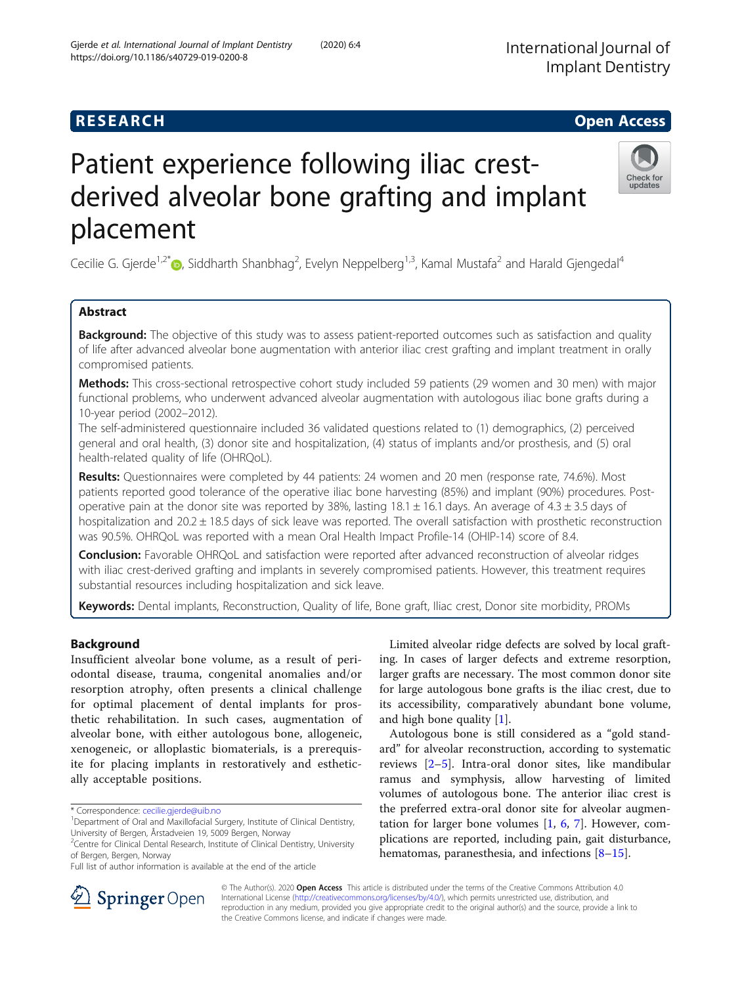# **RESEARCH CHE Open Access**

# Patient experience following iliac crestderived alveolar bone grafting and implant placement

Cecilie G. Gjerde<sup>1,2[\\*](http://orcid.org/0000-0002-7581-6413)</sup>©, Siddharth Shanbhag<sup>2</sup>, Evelyn Neppelberg<sup>1,3</sup>, Kamal Mustafa<sup>2</sup> and Harald Gjengedal<sup>4</sup>

# Abstract

**Background:** The objective of this study was to assess patient-reported outcomes such as satisfaction and quality of life after advanced alveolar bone augmentation with anterior iliac crest grafting and implant treatment in orally compromised patients.

Methods: This cross-sectional retrospective cohort study included 59 patients (29 women and 30 men) with major functional problems, who underwent advanced alveolar augmentation with autologous iliac bone grafts during a 10-year period (2002–2012).

The self-administered questionnaire included 36 validated questions related to (1) demographics, (2) perceived general and oral health, (3) donor site and hospitalization, (4) status of implants and/or prosthesis, and (5) oral health-related quality of life (OHRQoL).

Results: Questionnaires were completed by 44 patients: 24 women and 20 men (response rate, 74.6%). Most patients reported good tolerance of the operative iliac bone harvesting (85%) and implant (90%) procedures. Postoperative pain at the donor site was reported by 38%, lasting  $18.1 \pm 16.1$  days. An average of  $4.3 \pm 3.5$  days of hospitalization and  $20.2 \pm 18.5$  days of sick leave was reported. The overall satisfaction with prosthetic reconstruction was 90.5%. OHRQoL was reported with a mean Oral Health Impact Profile-14 (OHIP-14) score of 8.4.

**Conclusion:** Favorable OHRQoL and satisfaction were reported after advanced reconstruction of alveolar ridges with iliac crest-derived grafting and implants in severely compromised patients. However, this treatment requires substantial resources including hospitalization and sick leave.

Keywords: Dental implants, Reconstruction, Quality of life, Bone graft, Iliac crest, Donor site morbidity, PROMs

## Background

Insufficient alveolar bone volume, as a result of periodontal disease, trauma, congenital anomalies and/or resorption atrophy, often presents a clinical challenge for optimal placement of dental implants for prosthetic rehabilitation. In such cases, augmentation of alveolar bone, with either autologous bone, allogeneic, xenogeneic, or alloplastic biomaterials, is a prerequisite for placing implants in restoratively and esthetically acceptable positions.

\* Correspondence: [cecilie.gjerde@uib.no](mailto:cecilie.gjerde@uib.no) <sup>1</sup>

Limited alveolar ridge defects are solved by local grafting. In cases of larger defects and extreme resorption, larger grafts are necessary. The most common donor site for large autologous bone grafts is the iliac crest, due to its accessibility, comparatively abundant bone volume, and high bone quality [\[1](#page-5-0)].

Autologous bone is still considered as a "gold standard" for alveolar reconstruction, according to systematic reviews [[2](#page-6-0)–[5\]](#page-6-0). Intra-oral donor sites, like mandibular ramus and symphysis, allow harvesting of limited volumes of autologous bone. The anterior iliac crest is the preferred extra-oral donor site for alveolar augmentation for larger bone volumes  $[1, 6, 7]$  $[1, 6, 7]$  $[1, 6, 7]$  $[1, 6, 7]$  $[1, 6, 7]$ . However, complications are reported, including pain, gait disturbance, hematomas, paranesthesia, and infections [[8](#page-6-0)–[15](#page-6-0)].





updates

© The Author(s). 2020 Open Access This article is distributed under the terms of the Creative Commons Attribution 4.0 International License ([http://creativecommons.org/licenses/by/4.0/\)](http://creativecommons.org/licenses/by/4.0/), which permits unrestricted use, distribution, and reproduction in any medium, provided you give appropriate credit to the original author(s) and the source, provide a link to the Creative Commons license, and indicate if changes were made.

<sup>&</sup>lt;sup>1</sup>Department of Oral and Maxillofacial Surgery, Institute of Clinical Dentistry, University of Bergen, Årstadveien 19, 5009 Bergen, Norway

<sup>&</sup>lt;sup>2</sup> Centre for Clinical Dental Research, Institute of Clinical Dentistry, University of Bergen, Bergen, Norway

Full list of author information is available at the end of the article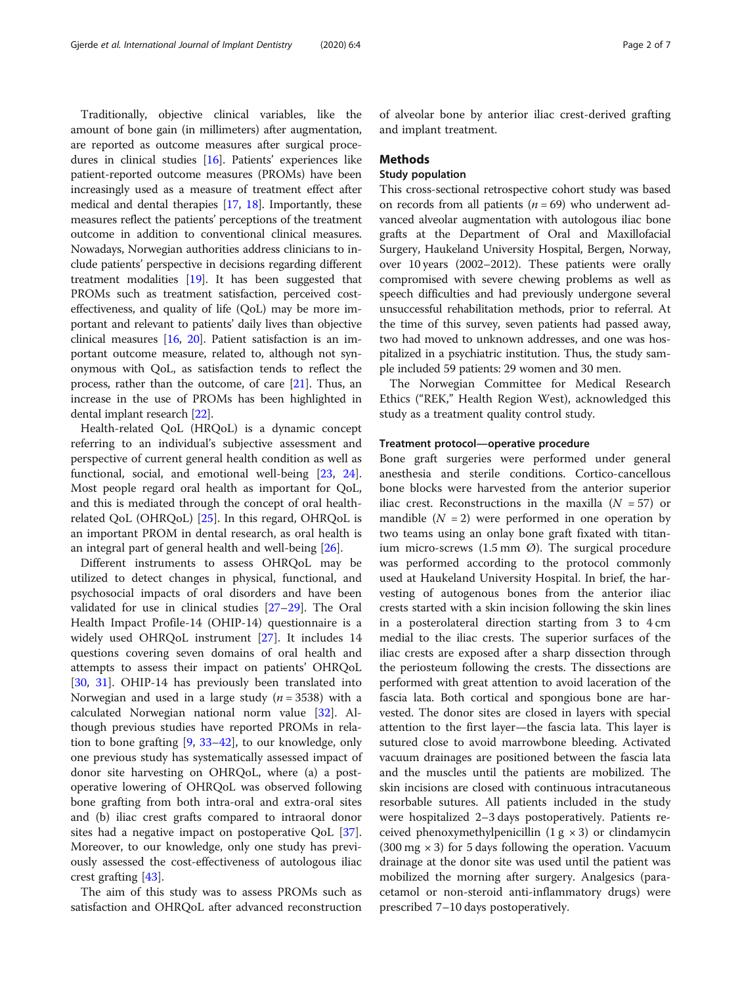Traditionally, objective clinical variables, like the amount of bone gain (in millimeters) after augmentation, are reported as outcome measures after surgical procedures in clinical studies [\[16\]](#page-6-0). Patients' experiences like patient-reported outcome measures (PROMs) have been increasingly used as a measure of treatment effect after medical and dental therapies [\[17,](#page-6-0) [18](#page-6-0)]. Importantly, these measures reflect the patients' perceptions of the treatment outcome in addition to conventional clinical measures. Nowadays, Norwegian authorities address clinicians to include patients' perspective in decisions regarding different treatment modalities [\[19\]](#page-6-0). It has been suggested that PROMs such as treatment satisfaction, perceived costeffectiveness, and quality of life (QoL) may be more important and relevant to patients' daily lives than objective clinical measures [\[16,](#page-6-0) [20](#page-6-0)]. Patient satisfaction is an important outcome measure, related to, although not synonymous with QoL, as satisfaction tends to reflect the process, rather than the outcome, of care [\[21](#page-6-0)]. Thus, an increase in the use of PROMs has been highlighted in dental implant research [[22](#page-6-0)].

Health-related QoL (HRQoL) is a dynamic concept referring to an individual's subjective assessment and perspective of current general health condition as well as functional, social, and emotional well-being [\[23](#page-6-0), [24](#page-6-0)]. Most people regard oral health as important for QoL, and this is mediated through the concept of oral healthrelated QoL (OHRQoL) [[25](#page-6-0)]. In this regard, OHRQoL is an important PROM in dental research, as oral health is an integral part of general health and well-being [\[26](#page-6-0)].

Different instruments to assess OHRQoL may be utilized to detect changes in physical, functional, and psychosocial impacts of oral disorders and have been validated for use in clinical studies [\[27](#page-6-0)–[29](#page-6-0)]. The Oral Health Impact Profile-14 (OHIP-14) questionnaire is a widely used OHRQoL instrument [[27\]](#page-6-0). It includes 14 questions covering seven domains of oral health and attempts to assess their impact on patients' OHRQoL [[30,](#page-6-0) [31\]](#page-6-0). OHIP-14 has previously been translated into Norwegian and used in a large study ( $n = 3538$ ) with a calculated Norwegian national norm value [[32](#page-6-0)]. Although previous studies have reported PROMs in relation to bone grafting [[9,](#page-6-0) [33](#page-6-0)–[42\]](#page-6-0), to our knowledge, only one previous study has systematically assessed impact of donor site harvesting on OHRQoL, where (a) a postoperative lowering of OHRQoL was observed following bone grafting from both intra-oral and extra-oral sites and (b) iliac crest grafts compared to intraoral donor sites had a negative impact on postoperative QoL [\[37](#page-6-0)]. Moreover, to our knowledge, only one study has previously assessed the cost-effectiveness of autologous iliac crest grafting [[43](#page-6-0)].

The aim of this study was to assess PROMs such as satisfaction and OHRQoL after advanced reconstruction

of alveolar bone by anterior iliac crest-derived grafting and implant treatment.

#### Methods

# Study population

This cross-sectional retrospective cohort study was based on records from all patients ( $n = 69$ ) who underwent advanced alveolar augmentation with autologous iliac bone grafts at the Department of Oral and Maxillofacial Surgery, Haukeland University Hospital, Bergen, Norway, over 10 years (2002–2012). These patients were orally compromised with severe chewing problems as well as speech difficulties and had previously undergone several unsuccessful rehabilitation methods, prior to referral. At the time of this survey, seven patients had passed away, two had moved to unknown addresses, and one was hospitalized in a psychiatric institution. Thus, the study sample included 59 patients: 29 women and 30 men.

The Norwegian Committee for Medical Research Ethics ("REK," Health Region West), acknowledged this study as a treatment quality control study.

#### Treatment protocol—operative procedure

Bone graft surgeries were performed under general anesthesia and sterile conditions. Cortico-cancellous bone blocks were harvested from the anterior superior iliac crest. Reconstructions in the maxilla  $(N = 57)$  or mandible  $(N = 2)$  were performed in one operation by two teams using an onlay bone graft fixated with titanium micro-screws  $(1.5 \text{ mm} \ \emptyset)$ . The surgical procedure was performed according to the protocol commonly used at Haukeland University Hospital. In brief, the harvesting of autogenous bones from the anterior iliac crests started with a skin incision following the skin lines in a posterolateral direction starting from 3 to 4 cm medial to the iliac crests. The superior surfaces of the iliac crests are exposed after a sharp dissection through the periosteum following the crests. The dissections are performed with great attention to avoid laceration of the fascia lata. Both cortical and spongious bone are harvested. The donor sites are closed in layers with special attention to the first layer—the fascia lata. This layer is sutured close to avoid marrowbone bleeding. Activated vacuum drainages are positioned between the fascia lata and the muscles until the patients are mobilized. The skin incisions are closed with continuous intracutaneous resorbable sutures. All patients included in the study were hospitalized 2–3 days postoperatively. Patients received phenoxymethylpenicillin  $(1 g \times 3)$  or clindamycin (300 mg  $\times$  3) for 5 days following the operation. Vacuum drainage at the donor site was used until the patient was mobilized the morning after surgery. Analgesics (paracetamol or non-steroid anti-inflammatory drugs) were prescribed 7–10 days postoperatively.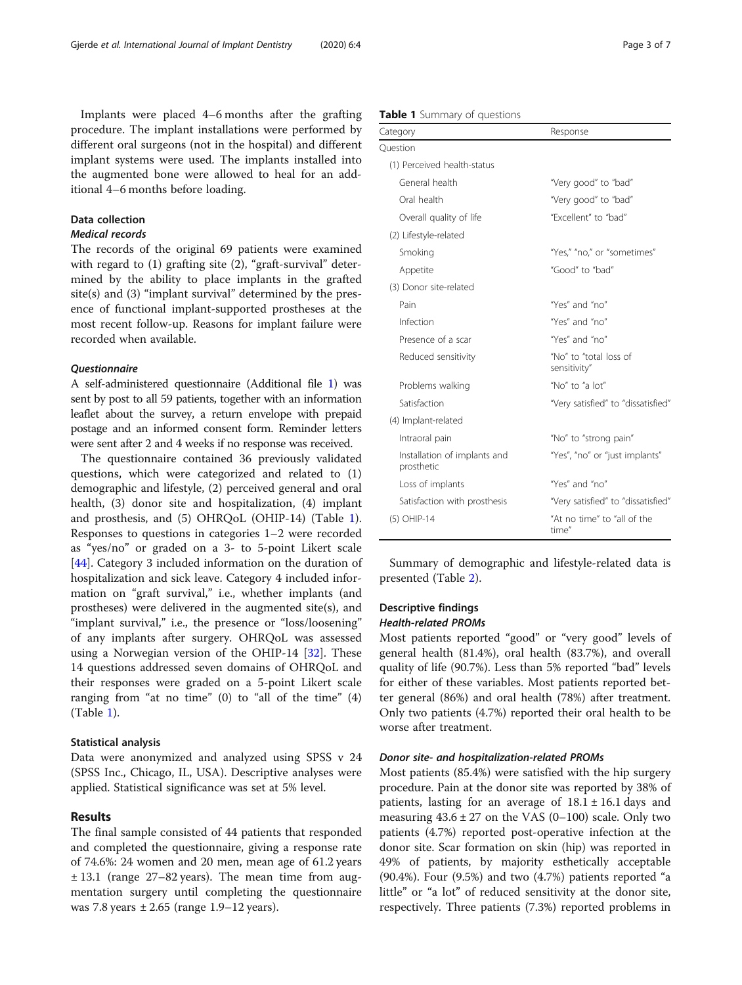Implants were placed 4–6 months after the grafting procedure. The implant installations were performed by different oral surgeons (not in the hospital) and different implant systems were used. The implants installed into the augmented bone were allowed to heal for an additional 4–6 months before loading.

#### Data collection

# Medical records

The records of the original 69 patients were examined with regard to (1) grafting site (2), "graft-survival" determined by the ability to place implants in the grafted site(s) and (3) "implant survival" determined by the presence of functional implant-supported prostheses at the most recent follow-up. Reasons for implant failure were recorded when available.

#### **Ouestionnaire**

A self-administered questionnaire (Additional file [1](#page-5-0)) was sent by post to all 59 patients, together with an information leaflet about the survey, a return envelope with prepaid postage and an informed consent form. Reminder letters were sent after 2 and 4 weeks if no response was received.

The questionnaire contained 36 previously validated questions, which were categorized and related to (1) demographic and lifestyle, (2) perceived general and oral health, (3) donor site and hospitalization, (4) implant and prosthesis, and (5) OHRQoL (OHIP-14) (Table 1). Responses to questions in categories 1–2 were recorded as "yes/no" or graded on a 3- to 5-point Likert scale [[44\]](#page-6-0). Category 3 included information on the duration of hospitalization and sick leave. Category 4 included information on "graft survival," i.e., whether implants (and prostheses) were delivered in the augmented site(s), and "implant survival," i.e., the presence or "loss/loosening" of any implants after surgery. OHRQoL was assessed using a Norwegian version of the OHIP-14 [[32\]](#page-6-0). These 14 questions addressed seven domains of OHRQoL and their responses were graded on a 5-point Likert scale ranging from "at no time"  $(0)$  to "all of the time"  $(4)$ (Table 1).

#### Statistical analysis

Data were anonymized and analyzed using SPSS v 24 (SPSS Inc., Chicago, IL, USA). Descriptive analyses were applied. Statistical significance was set at 5% level.

### Results

The final sample consisted of 44 patients that responded and completed the questionnaire, giving a response rate of 74.6%: 24 women and 20 men, mean age of 61.2 years ± 13.1 (range 27–82 years). The mean time from augmentation surgery until completing the questionnaire was 7.8 years  $\pm 2.65$  (range 1.9–12 years).

| Table 1 Summary of questions |  |
|------------------------------|--|
|------------------------------|--|

| Category                                   | Response                               |
|--------------------------------------------|----------------------------------------|
| Question                                   |                                        |
| (1) Perceived health-status                |                                        |
| General health                             | "Very good" to "bad"                   |
| Oral health                                | "Very good" to "bad"                   |
| Overall quality of life                    | "Excellent" to "bad"                   |
| (2) Lifestyle-related                      |                                        |
| Smoking                                    | "Yes," "no," or "sometimes"            |
| Appetite                                   | "Good" to "bad"                        |
| (3) Donor site-related                     |                                        |
| Pain                                       | "Yes" and "no"                         |
| Infection                                  | "Yes" and "no"                         |
| Presence of a scar                         | "Yes" and "no"                         |
| Reduced sensitivity                        | "No" to "total loss of<br>sensitivity" |
| Problems walking                           | "No" to "a $lot"$                      |
| Satisfaction                               | "Very satisfied" to "dissatisfied"     |
| (4) Implant-related                        |                                        |
| Intraoral pain                             | "No" to "strong pain"                  |
| Installation of implants and<br>prosthetic | "Yes", "no" or "just implants"         |
| Loss of implants                           | "Yes" and "no"                         |
| Satisfaction with prosthesis               | "Very satisfied" to "dissatisfied"     |
| (5) OHIP-14                                | "At no time" to "all of the<br>time"   |

Summary of demographic and lifestyle-related data is presented (Table [2](#page-3-0)).

#### Descriptive findings Health-related PROMs

Most patients reported "good" or "very good" levels of general health (81.4%), oral health (83.7%), and overall quality of life (90.7%). Less than 5% reported "bad" levels for either of these variables. Most patients reported better general (86%) and oral health (78%) after treatment. Only two patients (4.7%) reported their oral health to be worse after treatment.

#### Donor site- and hospitalization-related PROMs

Most patients (85.4%) were satisfied with the hip surgery procedure. Pain at the donor site was reported by 38% of patients, lasting for an average of  $18.1 \pm 16.1$  days and measuring  $43.6 \pm 27$  on the VAS (0–100) scale. Only two patients (4.7%) reported post-operative infection at the donor site. Scar formation on skin (hip) was reported in 49% of patients, by majority esthetically acceptable (90.4%). Four (9.5%) and two (4.7%) patients reported "a little" or "a lot" of reduced sensitivity at the donor site, respectively. Three patients (7.3%) reported problems in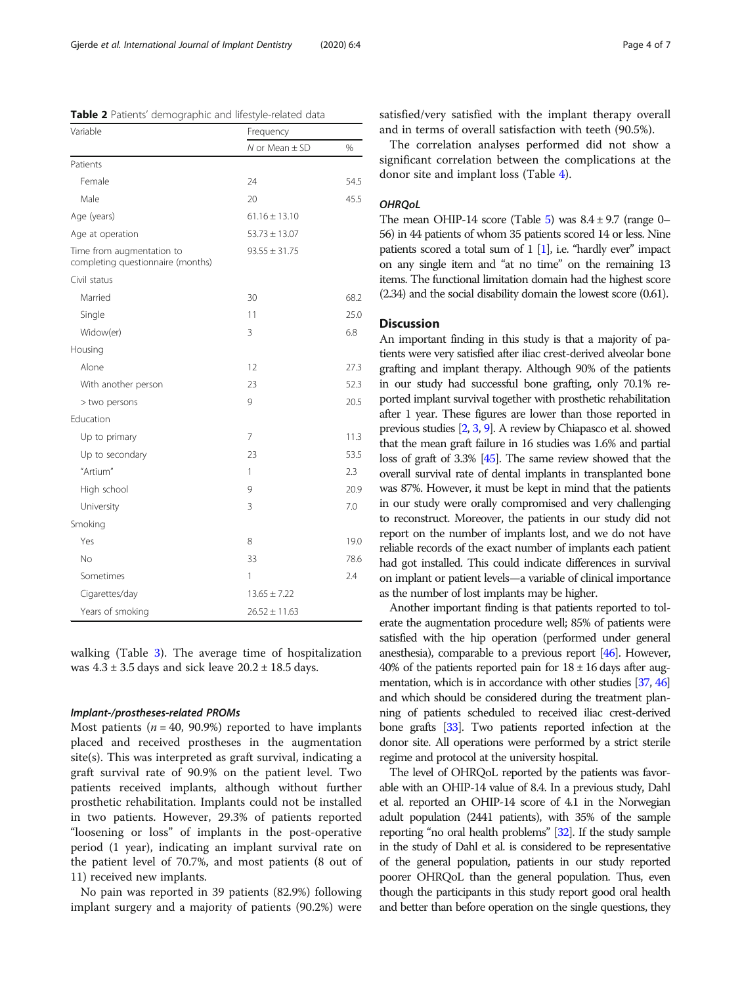<span id="page-3-0"></span>Table 2 Patients' demographic and lifestyle-related data

| Variable                                                       | Frequency            |      |
|----------------------------------------------------------------|----------------------|------|
|                                                                | $N$ or Mean $\pm$ SD | %    |
| Patients                                                       |                      |      |
| Female                                                         | 24                   | 54.5 |
| Male                                                           | 20                   | 45.5 |
| Age (years)                                                    | $61.16 \pm 13.10$    |      |
| Age at operation                                               | $53.73 \pm 13.07$    |      |
| Time from augmentation to<br>completing questionnaire (months) | $93.55 \pm 31.75$    |      |
| Civil status                                                   |                      |      |
| Married                                                        | 30                   | 68.2 |
| Single                                                         | 11                   | 25.0 |
| Widow(er)                                                      | 3                    | 6.8  |
| Housing                                                        |                      |      |
| Alone                                                          | 12                   | 27.3 |
| With another person                                            | 23                   | 52.3 |
| > two persons                                                  | 9                    | 20.5 |
| Education                                                      |                      |      |
| Up to primary                                                  | 7                    | 11.3 |
| Up to secondary                                                | 23                   | 53.5 |
| "Artium"                                                       | 1                    | 2.3  |
| High school                                                    | 9                    | 20.9 |
| University                                                     | 3                    | 7.0  |
| Smoking                                                        |                      |      |
| Yes                                                            | 8                    | 19.0 |
| <b>No</b>                                                      | 33                   | 78.6 |
| Sometimes                                                      | 1                    | 2.4  |
| Cigarettes/day                                                 | $13.65 \pm 7.22$     |      |
| Years of smoking                                               | $26.52 \pm 11.63$    |      |

walking (Table [3\)](#page-4-0). The average time of hospitalization was  $4.3 \pm 3.5$  days and sick leave  $20.2 \pm 18.5$  days.

#### Implant-/prostheses-related PROMs

Most patients ( $n = 40$ , 90.9%) reported to have implants placed and received prostheses in the augmentation site(s). This was interpreted as graft survival, indicating a graft survival rate of 90.9% on the patient level. Two patients received implants, although without further prosthetic rehabilitation. Implants could not be installed in two patients. However, 29.3% of patients reported "loosening or loss" of implants in the post-operative period (1 year), indicating an implant survival rate on the patient level of 70.7%, and most patients (8 out of 11) received new implants.

No pain was reported in 39 patients (82.9%) following implant surgery and a majority of patients (90.2%) were satisfied/very satisfied with the implant therapy overall and in terms of overall satisfaction with teeth (90.5%).

The correlation analyses performed did not show a significant correlation between the complications at the donor site and implant loss (Table [4\)](#page-4-0).

#### **OHROoL**

The mean OHIP-14 score (Table [5](#page-5-0)) was  $8.4 \pm 9.7$  (range 0– 56) in 44 patients of whom 35 patients scored 14 or less. Nine patients scored a total sum of 1 [\[1\]](#page-5-0), i.e. "hardly ever" impact on any single item and "at no time" on the remaining 13 items. The functional limitation domain had the highest score (2.34) and the social disability domain the lowest score (0.61).

#### Discussion

An important finding in this study is that a majority of patients were very satisfied after iliac crest-derived alveolar bone grafting and implant therapy. Although 90% of the patients in our study had successful bone grafting, only 70.1% reported implant survival together with prosthetic rehabilitation after 1 year. These figures are lower than those reported in previous studies [[2](#page-6-0), [3](#page-6-0), [9](#page-6-0)]. A review by Chiapasco et al. showed that the mean graft failure in 16 studies was 1.6% and partial loss of graft of 3.3% [[45\]](#page-6-0). The same review showed that the overall survival rate of dental implants in transplanted bone was 87%. However, it must be kept in mind that the patients in our study were orally compromised and very challenging to reconstruct. Moreover, the patients in our study did not report on the number of implants lost, and we do not have reliable records of the exact number of implants each patient had got installed. This could indicate differences in survival on implant or patient levels—a variable of clinical importance as the number of lost implants may be higher.

Another important finding is that patients reported to tolerate the augmentation procedure well; 85% of patients were satisfied with the hip operation (performed under general anesthesia), comparable to a previous report [\[46\]](#page-6-0). However, 40% of the patients reported pain for  $18 \pm 16$  days after augmentation, which is in accordance with other studies [\[37,](#page-6-0) [46](#page-6-0)] and which should be considered during the treatment planning of patients scheduled to received iliac crest-derived bone grafts [[33\]](#page-6-0). Two patients reported infection at the donor site. All operations were performed by a strict sterile regime and protocol at the university hospital.

The level of OHRQoL reported by the patients was favorable with an OHIP-14 value of 8.4. In a previous study, Dahl et al. reported an OHIP-14 score of 4.1 in the Norwegian adult population (2441 patients), with 35% of the sample reporting "no oral health problems" [[32\]](#page-6-0). If the study sample in the study of Dahl et al. is considered to be representative of the general population, patients in our study reported poorer OHRQoL than the general population. Thus, even though the participants in this study report good oral health and better than before operation on the single questions, they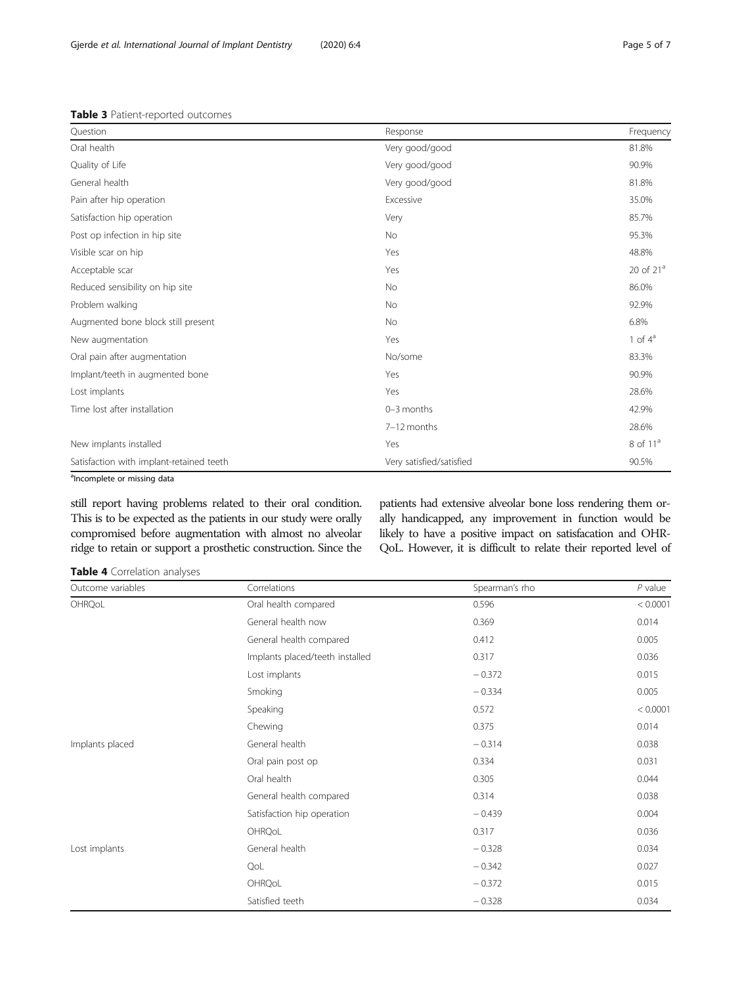<span id="page-4-0"></span>

|  | <b>Table 3</b> Patient-reported outcomes |  |
|--|------------------------------------------|--|
|--|------------------------------------------|--|

| Question                                 | Response                 | Frequency             |
|------------------------------------------|--------------------------|-----------------------|
| Oral health                              | Very good/good           | 81.8%                 |
| Quality of Life                          | Very good/good           | 90.9%                 |
| General health                           | Very good/good           | 81.8%                 |
| Pain after hip operation                 | Excessive                | 35.0%                 |
| Satisfaction hip operation               | Very                     | 85.7%                 |
| Post op infection in hip site            | <b>No</b>                | 95.3%                 |
| Visible scar on hip                      | Yes                      | 48.8%                 |
| Acceptable scar                          | Yes                      | 20 of 21 <sup>a</sup> |
| Reduced sensibility on hip site          | No                       | 86.0%                 |
| Problem walking                          | No                       | 92.9%                 |
| Augmented bone block still present       | No                       | 6.8%                  |
| New augmentation                         | Yes                      | 1 of $4^a$            |
| Oral pain after augmentation             | No/some                  | 83.3%                 |
| Implant/teeth in augmented bone          | Yes                      | 90.9%                 |
| Lost implants                            | Yes                      | 28.6%                 |
| Time lost after installation             | 0-3 months               | 42.9%                 |
|                                          | 7-12 months              | 28.6%                 |
| New implants installed                   | Yes                      | 8 of 11 <sup>a</sup>  |
| Satisfaction with implant-retained teeth | Very satisfied/satisfied | 90.5%                 |

<sup>a</sup>Incomplete or missing data

still report having problems related to their oral condition. This is to be expected as the patients in our study were orally compromised before augmentation with almost no alveolar ridge to retain or support a prosthetic construction. Since the

patients had extensive alveolar bone loss rendering them orally handicapped, any improvement in function would be likely to have a positive impact on satisfacation and OHR-QoL. However, it is difficult to relate their reported level of

Table 4 Correlation analyses

| Outcome variables | Correlations                    | Spearman's rho | $P$ value |
|-------------------|---------------------------------|----------------|-----------|
| OHRQoL            | Oral health compared            | 0.596          | < 0.0001  |
|                   | General health now              | 0.369          | 0.014     |
|                   | General health compared         | 0.412          | 0.005     |
|                   | Implants placed/teeth installed | 0.317          | 0.036     |
|                   | Lost implants                   | $-0.372$       | 0.015     |
|                   | Smoking                         | $-0.334$       | 0.005     |
|                   | Speaking                        | 0.572          | < 0.0001  |
|                   | Chewing                         | 0.375          | 0.014     |
| Implants placed   | General health                  | $-0.314$       | 0.038     |
|                   | Oral pain post op               | 0.334          | 0.031     |
|                   | Oral health                     | 0.305          | 0.044     |
|                   | General health compared         | 0.314          | 0.038     |
|                   | Satisfaction hip operation      | $-0.439$       | 0.004     |
|                   | OHRQoL                          | 0.317          | 0.036     |
| Lost implants     | General health                  | $-0.328$       | 0.034     |
|                   | QoL                             | $-0.342$       | 0.027     |
|                   | OHRQoL                          | $-0.372$       | 0.015     |
|                   | Satisfied teeth                 | $-0.328$       | 0.034     |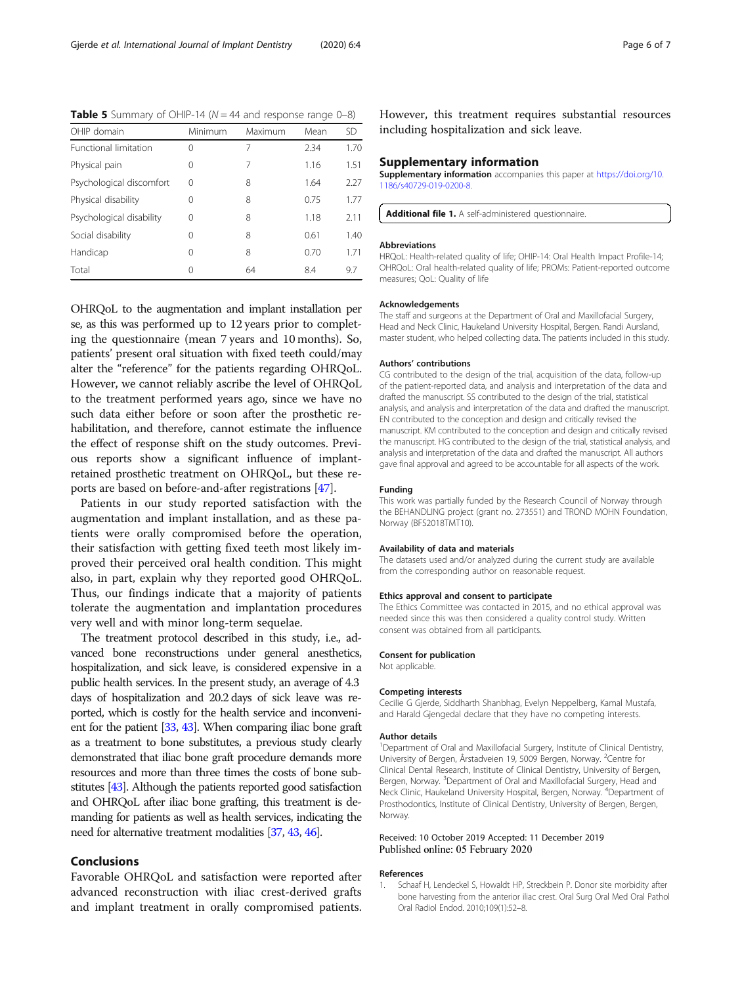<span id="page-5-0"></span>**Table 5** Summary of OHIP-14 ( $N = 44$  and response range 0-8)

| OHIP domain                  | Minimum | Maximum | Mean | SD   |
|------------------------------|---------|---------|------|------|
| <b>Functional limitation</b> | 0       | 7       | 2.34 | 1.70 |
| Physical pain                | 0       | 7       | 1.16 | 1.51 |
| Psychological discomfort     | 0       | 8       | 1.64 | 2.27 |
| Physical disability          | 0       | 8       | 0.75 | 1.77 |
| Psychological disability     | 0       | 8       | 1.18 | 2.11 |
| Social disability            | 0       | 8       | 0.61 | 1.40 |
| Handicap                     | 0       | 8       | 0.70 | 171  |
| Total                        | 0       | 64      | 8.4  | 9.7  |

OHRQoL to the augmentation and implant installation per se, as this was performed up to 12 years prior to completing the questionnaire (mean 7 years and 10 months). So, patients' present oral situation with fixed teeth could/may alter the "reference" for the patients regarding OHRQoL. However, we cannot reliably ascribe the level of OHRQoL to the treatment performed years ago, since we have no such data either before or soon after the prosthetic rehabilitation, and therefore, cannot estimate the influence the effect of response shift on the study outcomes. Previous reports show a significant influence of implantretained prosthetic treatment on OHRQoL, but these reports are based on before-and-after registrations [\[47\]](#page-6-0).

Patients in our study reported satisfaction with the augmentation and implant installation, and as these patients were orally compromised before the operation, their satisfaction with getting fixed teeth most likely improved their perceived oral health condition. This might also, in part, explain why they reported good OHRQoL. Thus, our findings indicate that a majority of patients tolerate the augmentation and implantation procedures very well and with minor long-term sequelae.

The treatment protocol described in this study, i.e., advanced bone reconstructions under general anesthetics, hospitalization, and sick leave, is considered expensive in a public health services. In the present study, an average of 4.3 days of hospitalization and 20.2 days of sick leave was reported, which is costly for the health service and inconvenient for the patient [\[33](#page-6-0), [43](#page-6-0)]. When comparing iliac bone graft as a treatment to bone substitutes, a previous study clearly demonstrated that iliac bone graft procedure demands more resources and more than three times the costs of bone substitutes [\[43](#page-6-0)]. Although the patients reported good satisfaction and OHRQoL after iliac bone grafting, this treatment is demanding for patients as well as health services, indicating the need for alternative treatment modalities [\[37,](#page-6-0) [43](#page-6-0), [46\]](#page-6-0).

#### Conclusions

Favorable OHRQoL and satisfaction were reported after advanced reconstruction with iliac crest-derived grafts and implant treatment in orally compromised patients. However, this treatment requires substantial resources including hospitalization and sick leave.

#### Supplementary information

Supplementary information accompanies this paper at [https://doi.org/10.](https://doi.org/10.1186/s40729-019-0200-8) [1186/s40729-019-0200-8.](https://doi.org/10.1186/s40729-019-0200-8)

Additional file 1. A self-administered questionnaire.

#### Abbreviations

HRQoL: Health-related quality of life; OHIP-14: Oral Health Impact Profile-14; OHRQoL: Oral health-related quality of life; PROMs: Patient-reported outcome measures; QoL: Quality of life

#### Acknowledgements

The staff and surgeons at the Department of Oral and Maxillofacial Surgery, Head and Neck Clinic, Haukeland University Hospital, Bergen. Randi Aursland, master student, who helped collecting data. The patients included in this study.

#### Authors' contributions

CG contributed to the design of the trial, acquisition of the data, follow-up of the patient-reported data, and analysis and interpretation of the data and drafted the manuscript. SS contributed to the design of the trial, statistical analysis, and analysis and interpretation of the data and drafted the manuscript. EN contributed to the conception and design and critically revised the manuscript. KM contributed to the conception and design and critically revised the manuscript. HG contributed to the design of the trial, statistical analysis, and analysis and interpretation of the data and drafted the manuscript. All authors gave final approval and agreed to be accountable for all aspects of the work.

#### Funding

This work was partially funded by the Research Council of Norway through the BEHANDLING project (grant no. 273551) and TROND MOHN Foundation, Norway (BFS2018TMT10).

#### Availability of data and materials

The datasets used and/or analyzed during the current study are available from the corresponding author on reasonable request.

#### Ethics approval and consent to participate

The Ethics Committee was contacted in 2015, and no ethical approval was needed since this was then considered a quality control study. Written consent was obtained from all participants.

#### Consent for publication

Not applicable.

#### Competing interests

Cecilie G Gjerde, Siddharth Shanbhag, Evelyn Neppelberg, Kamal Mustafa, and Harald Gjengedal declare that they have no competing interests.

#### Author details

<sup>1</sup>Department of Oral and Maxillofacial Surgery, Institute of Clinical Dentistry, University of Bergen, Årstadveien 19, 5009 Bergen, Norway. <sup>2</sup>Centre for Clinical Dental Research, Institute of Clinical Dentistry, University of Bergen, Bergen, Norway. <sup>3</sup>Department of Oral and Maxillofacial Surgery, Head and Neck Clinic, Haukeland University Hospital, Bergen, Norway. <sup>4</sup> Department of Prosthodontics, Institute of Clinical Dentistry, University of Bergen, Bergen, **Norway** 

#### Received: 10 October 2019 Accepted: 11 December 2019 Published online: 05 February 2020

#### References

Schaaf H, Lendeckel S, Howaldt HP, Streckbein P. Donor site morbidity after bone harvesting from the anterior iliac crest. Oral Surg Oral Med Oral Pathol Oral Radiol Endod. 2010;109(1):52–8.